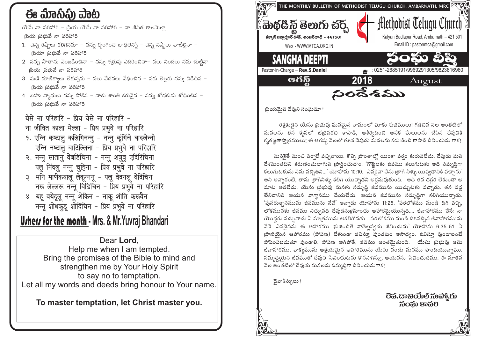## ఈ ಮಾನಿವಿ) ವಾಟ

యేసే నా పరిహారి – 'పియ యేసే నా పరిహారి – నా జీవిత కాలమెలా <u>౹పియ ౹పబువే నా పరిహారి</u>

- 1. ఎన్ని కష్టాలు కలిగిననూ నన్ను కృంగించె బాధలెన్నో ఎన్ని నష్టాలు వాటిల్లినా ౹పియా ౹పభువే నా పరిహారి
- 2 నన్ను సాతాను వెంబడించినా నన్ను శ్రతువు ఎదిరించినా– పలు నిందలు నను చుట్టినా నియ స్ట్రభువే నా పరిహారి
- 3 మణి మాణిక్వాలు లేకున్నను పలు వేదనలు వేధించిన నరు లెల్లరు నన్ను విడిచిన నియ స్ట్రభువే నా పరిహారి
- 4 బహు వ్యాధులు నన్ను సోకిన నాకు శాంతి కరువైన నన్ను శోధకుడు శోధించిన |పియ <sub>|</sub>పభువే నా పరిహారి

येसे ना परिहारि - प्रिय येसे ना परिहारि -

- ना जीवित काला मेल्ला प्रिय प्रभवे ना परिहारि
- 9. एन्नि कष्टालु कलिगिनन्नु नन्नु कृंगिंचे बादलेन्नो एन्नि नष्टालु वाटिल्लिना - प्रिय प्रभुवे ना परिहारि
- २. नन्तु सातानु वेंबडिंचिना नन्तु शत्रुवु एदिरिंचिना पलु निंदलु नन्नु चुट्टिना - प्रिय प्रभुवे ना परिहारि
- ३ मनि माणेकयालू लेकून्ननू पलू वेदनलू वेदिंचिन नरू लेल्लरू नन्नू विडिचिन - प्रिय प्रभुवे ना परिहारि
- ४ बहू वयेदूलू नन्नू शेकिन नाकू शांति करूवैन नन्नू शोधकुडू शोदिंचिन - प्रिय प्रभुवे ना परिहारि

## **Urhers for the month - Mrs. & Mr. Yuvraj Bhandari**

Dear Lord. Help me when I am tempted. Bring the promises of the Bible to mind and strengthen me by Your Holy Spirit to say no to temptation. Let all my words and deeds bring honour to Your name.

To master temptation, let Christ master you.



(పియమైన దేవుని సంఘమా !

రక్షకుడైన యేసు వ్రభువు ఘనమైన నామంలో విూకు శుభములు! గడచిన నెల అంతటిలో మనలను తన కృపలో భ్రధపరచి కాపాడి, ఆశీర్వదించి అనేక మేలులను చేసిన దేవునికి కృతజ్ఞతాస్మోతములు! ఈ ఆగస్తు నెలలో కూడ దేవుడు మనలను కరుణించి కాపాడి దీవించును గాక!

మనకెతే మంచి వరాలే వచ్చినాయి. కొన్ని (పాంతాలో యింకా వర్షం కురువలేదు. దేవుడు మన దేశమంతటిని కరుణించులాగున (పార్థించుదాం. 'గొఱ్ఱలకు జీవము కలుగుటకు అది సమృద్ధిగా కలుగుటకును నేను వచ్చితిని...' యోహాను 10:10. ఎవరైనా నేను త్రాగే నీళ్ళు యివ్వడానికి వచ్చాను' అని అన్నారంటే, తాను (తాగేనీళ్ళు కలిగి యున్నాడని అర్ధమవుతుంది. అది తన దగ్గర లేకుండా ఆ మాట అనలేడు. యేసు (పభువు మనకు సమృద్ధి జీవమును యిచ్చుటకు వచ్చాడు. తన వద్ద లేనిదానిని ఆయన వాగ్దానము చేయలేదు. ఆయన జీవమును సమృధ్ధిగా కలిగియున్నాడు. 'పునరుత్వానమును జీవమును నేనే' అన్నాడు యోహాను 11:25. 'పరలోకము నుండి దిగి వచ్చి, లోకమునకు జీవము నిచ్చునది దేవుడనుగ్రహించు ఆహారమైయున్నది.... జీవాహారము నేనే; నా యొద్దకు వచ్చువాడు ఏ మాత్రమును ఆకలిగొనడు... పరలోకము నుండి దిగివచ్చిన జీవాహారమును నేనే. ఎవడైనను ఈ ఆహారము భుజించితే వాడెల్లప్పడు జీవించును' యోహాను 6:35-51. ఏ (పాణియైన ఆహారము (పోషణ) లేకుండా జీవిస్తూ వుండటం అసాధ్యం. జీవిస్తూ వుండాలంటే పోషింపబడుతూ వుండాలి. పోషణ ఆగిపోతే, జీవము అంతమెతుంది. ్యేసు బ్రభువు అను జీవాహారము, వాక్యమును ఆక్షయమైన ఆహారమును యేసు నందు మనము పొందియున్నాము. సమృద్ధియైన జీవముతో దేవుని సేవించుటను కొనసాగిస్తూ, ఆయనను సేవించుదము. ఈ నూతన నెల అంతటిలో దేవుడు మనలను సమృద్ధిగా దీవించునుగాక!

దైవాశీస్సులు !

ටිති. යාඩ්රෝංචි බාබ්ච්. රා సంఘ కావరి